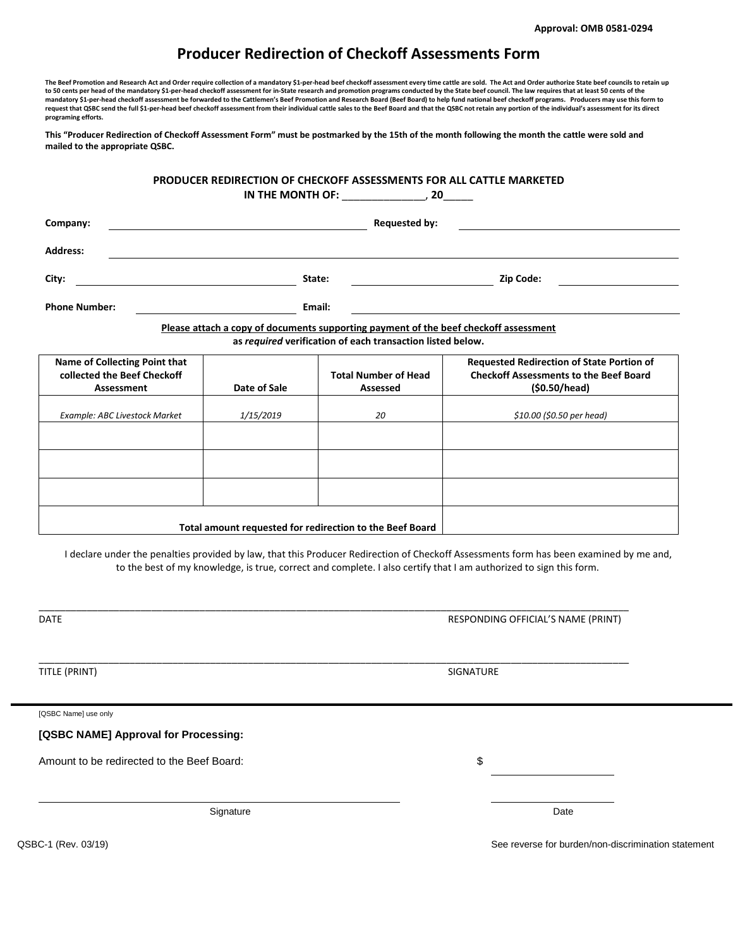## **Producer Redirection of Checkoff Assessments Form**

The Beef Promotion and Research Act and Order require collection of a mandatory \$1-per-head beef checkoff assessment every time cattle are sold. The Act and Order authorize State beef councils to retain up to 50 cents per head of the mandatory \$1-per-head checkoff assessment for in-State research and promotion programs conducted by the State beef council. The law requires that at least 50 cents of the **mandatory \$1-per-head checkoff assessment be forwarded to the Cattlemen's Beef Promotion and Research Board (Beef Board) to help fund national beef checkoff programs. Producers may use this form to**  request that QSBC send the full \$1-per-head beef checkoff assessment from their individual cattle sales to the Beef Board and that the QSBC not retain any portion of the individual's assessment for its direct **programing efforts.**

**This "Producer Redirection of Checkoff Assessment Form" must be postmarked by the 15th of the month following the month the cattle were sold and mailed to the appropriate QSBC.** 

## **PRODUCER REDIRECTION OF CHECKOFF ASSESSMENTS FOR ALL CATTLE MARKETED IN THE MONTH OF:** \_\_\_\_\_\_\_\_\_\_\_\_\_\_, **20**\_\_\_\_\_

| Company:                                                                             |  |           |                             | <b>Requested by:</b>                             |                           |  |  |  |
|--------------------------------------------------------------------------------------|--|-----------|-----------------------------|--------------------------------------------------|---------------------------|--|--|--|
| <b>Address:</b>                                                                      |  |           |                             |                                                  |                           |  |  |  |
| City:                                                                                |  |           | State:                      | Zip Code:                                        |                           |  |  |  |
| <b>Phone Number:</b>                                                                 |  | Email:    |                             |                                                  |                           |  |  |  |
| Please attach a copy of documents supporting payment of the beef checkoff assessment |  |           |                             |                                                  |                           |  |  |  |
| as required verification of each transaction listed below.                           |  |           |                             |                                                  |                           |  |  |  |
| Name of Collecting Point that                                                        |  |           |                             | <b>Requested Redirection of State Portion of</b> |                           |  |  |  |
| collected the Beef Checkoff                                                          |  |           | <b>Total Number of Head</b> | <b>Checkoff Assessments to the Beef Board</b>    |                           |  |  |  |
| Date of Sale<br>Assessment                                                           |  |           | Assessed                    | (S0.50/head)                                     |                           |  |  |  |
| <b>Example: ABC Livestock Market</b>                                                 |  | 1/15/2019 |                             | 20                                               | \$10.00 (\$0.50 per head) |  |  |  |

|  | Total amount requested for redirection to the Beef Board |  |
|--|----------------------------------------------------------|--|
|  |                                                          |  |
|  |                                                          |  |
|  |                                                          |  |

I declare under the penalties provided by law, that this Producer Redirection of Checkoff Assessments form has been examined by me and, to the best of my knowledge, is true, correct and complete. I also certify that I am authorized to sign this form.

\_\_\_\_\_\_\_\_\_\_\_\_\_\_\_\_\_\_\_\_\_\_\_\_\_\_\_\_\_\_\_\_\_\_\_\_\_\_\_\_\_\_\_\_\_\_\_\_\_\_\_\_\_\_\_\_\_\_\_\_\_\_\_\_\_\_\_\_\_\_\_\_\_\_\_\_\_\_\_\_\_\_\_\_\_\_\_\_\_\_\_\_\_\_\_\_\_\_\_\_\_\_\_\_\_\_\_\_\_\_

\_\_\_\_\_\_\_\_\_\_\_\_\_\_\_\_\_\_\_\_\_\_\_\_\_\_\_\_\_\_\_\_\_\_\_\_\_\_\_\_\_\_\_\_\_\_\_\_\_\_\_\_\_\_\_\_\_\_\_\_\_\_\_\_\_\_\_\_\_\_\_\_\_\_\_\_\_\_\_\_\_\_\_\_\_\_\_\_\_\_\_\_\_\_\_\_\_\_\_\_\_\_\_\_\_\_\_\_\_\_

DATE RESPONDING OFFICIAL'S NAME (PRINT)

TITLE (PRINT) SIGNATURE

[QSBC Name] use only

**[QSBC NAME] Approval for Processing:**

Amount to be redirected to the Beef Board:  $\text{S}$ 

Signature Date Date of the Contract of the Contract of the Contract of the Date Date Date

QSBC-1 (Rev. 03/19) See reverse for burden/non-discrimination statement